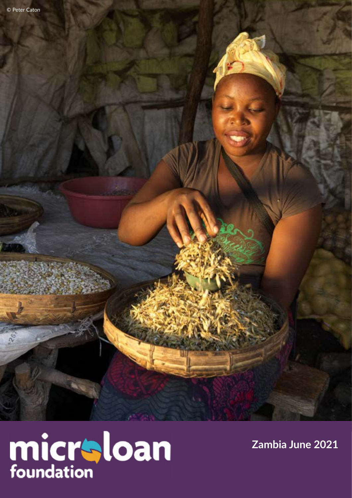å



**Zambia June 2021**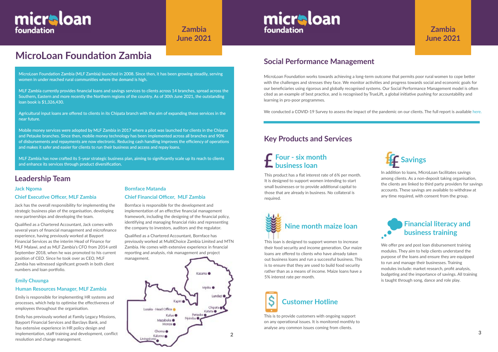

# **MicroLoan Foundation Zambia**

### **Leadership Team**

### **Jack Ngoma**

### **Chief Executive Officer, MLF Zambia**

Jack has the overall responsibility for implementing the strategic business plan of the organisation, developing new partnerships and developing the team.

Qualified as a Chartered Accountant, Jack comes with several years of financial management and microfinance experience, having previously worked at Bayport Financial Services as the interim Head of Finance for MLF Malawi, and as MLF Zambia's CFO from 2014 until September 2018, when he was promoted to his current position of CEO. Since he took over as CEO, MLF Zambia has witnessed significant growth in both client numbers and loan portfolio.

MicroLoan Foundation works towards achieving a long-term outcome that permits poor rural women to cope better with the challenges and stresses they face. We monitor activities and progress towards social and economic goals for our beneficiaries using rigorous and globally recognised systems. Our Social Performance Management model is often cited as an example of best practice, and is recognised by TrueLift, a global initiative pushing for accountability and learning in pro-poor programmes.

We conducted a COVID-19 Survey to assess the impact of the pandemic on our clients. The full report is available [her](https://www.microloanfoundation.org.uk/wp-content/uploads/2020/10/COVID-19-analysis_Zambia_FINAL.pdf)e.

# **Social Performance Management**

micraloan

foundation

### **Bornface Matanda**

### **Chief Financial Officer, MLF Zambia**

Bornface is responsible for the development and implementation of an effective financial management framework, including the designing of the financial policy, identifying and managing financial risks and representing the company to investors, auditors and the regulator.

Qualified as a Chartered Accountant, Bornface has previously worked at MultiChoice Zambia Limited and MTN Zambia. He comes with extensive experience in financial reporting and analysis, risk management and project management.

We offer pre and post loan disbursement training modules. They aim to help clients understand the purpose of the loans and ensure they are equipped to run and manage their businesses. Training modules include: market research, profit analysis, budgeting and the importance of savings. All training is taught through song, dance and role play.

# micraloan foundation

**Zambia June 2021**

# **Four - six month business loan**<br>**Business loan**

MicroLoan Foundation Zambia (MLF Zambia) launched in 2008. Since then, it has been growing steadily, serving women in under reached rural communities where the demand is high.

MLF Zambia currently provides financial loans and savings services to clients across 14 branches, spread across the Southern, Eastern and more recently the Northern regions of the country. As of 30th June 2021, the outstanding loan book is \$1,326,430.

Agricultural input loans are offered to clients in its Chipata branch with the aim of expanding these services in the near future.

Mobile money services were adopted by MLF Zambia in 2017 where a pilot was launched for clients in the Chipata and Petauke branches. Since then, mobile money technology has been implemented across all branches and 90% of disbursements and repayments are now electronic. Reducing cash handling improves the efficiency of operations and makes it safer and easier for clients to run their business and access and repay loans.

MLF Zambia has now crafted its 5-year strategic business plan, aiming to significantly scale up its reach to clients and enhance its services through product diversification.

## **Key Products and Services**



This is to provide customers with ongoing support on any operational issues. It is monitored monthly to analyse any common issues coming from clients.

## **Financial literacy and business training**

This product has a flat interest rate of 6% per month. It is designed to support women intending to start small businesses or to provide additional capital to those that are already in business. No collateral is required.

In addition to loans, MicroLoan facilitates savings among clients. As a non-deposit taking organisation, the clients are linked to third party providers for savings accounts. These savings are available to withdraw at any time required, with consent from the group.

This loan is designed to support women to increase their food security and income generation. Our maize loans are offered to clients who have already taken out business loans and run a successful business. This is to ensure that they are used to build food security rather than as a means of income. Maize loans have a 5% interest rate per month.



### **Emily Chuunga**

### **Human Resources Manager, MLF Zambia**

Emily is responsible for implementing HR systems and processes, which help to optimise the effectiveness of employees throughout the organisation.

Emily has previously worked at Family Legacy Missions, Bayport Financial Services and Barclays Bank, and has extensive experience in HR policy design and implementation, staff training and development, conflict resolution and change management.

# **Zambia June 2021**